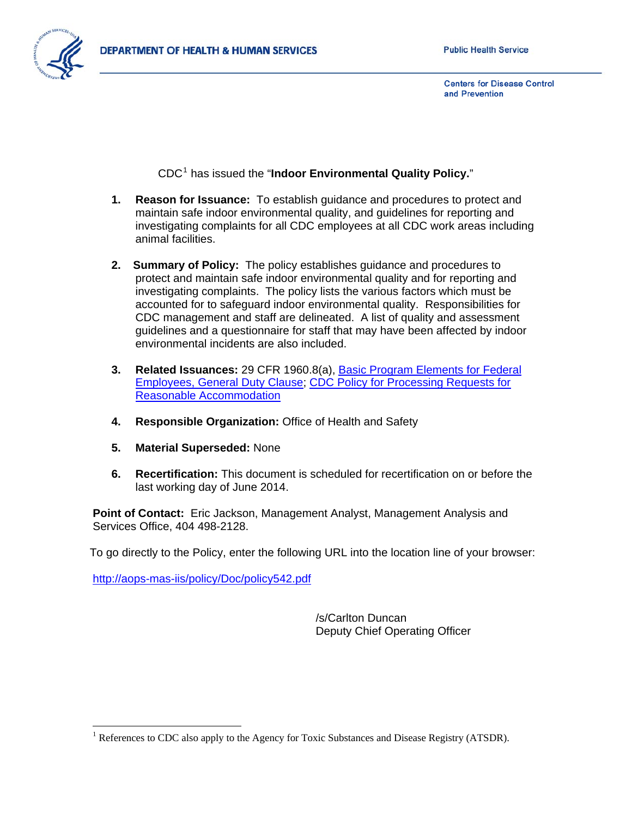

CDC[1](#page-0-0) has issued the "**Indoor Environmental Quality Policy.**"

- **1. Reason for Issuance:** To establish guidance and procedures to protect and maintain safe indoor environmental quality, and guidelines for reporting and investigating complaints for all CDC employees at all CDC work areas including animal facilities.
- **2. Summary of Policy:** The policy establishes guidance and procedures to protect and maintain safe indoor environmental quality and for reporting and investigating complaints. The policy lists the various factors which must be accounted for to safeguard indoor environmental quality. Responsibilities for CDC management and staff are delineated. A list of quality and assessment guidelines and a questionnaire for staff that may have been affected by indoor environmental incidents are also included.
- **3. Related Issuances:** 29 CFR 1960.8(a), [Basic Program Elements for Federal](http://edocket.access.gpo.gov/cfr_2008/julqtr/29cfr1960.8.htm)  [Employees, General Duty Clause;](http://edocket.access.gpo.gov/cfr_2008/julqtr/29cfr1960.8.htm) [CDC Policy for Processing Requests for](http://aops-mas-iis.cdc.gov/Policy/Doc/policy307.pdf)  [Reasonable Accommodation](http://aops-mas-iis.cdc.gov/Policy/Doc/policy307.pdf)
- **4. Responsible Organization:** Office of Health and Safety
- **5. Material Superseded:** None
- **6. Recertification:** This document is scheduled for recertification on or before the last working day of June 2014.

**Point of Contact:** Eric Jackson, Management Analyst, Management Analysis and Services Office, 404 498-2128.

To go directly to the Policy, enter the following URL into the location line of your browser:

http://aops-mas-iis/policy/Doc/policy542.pdf

 $\overline{a}$ 

/s/Carlton Duncan Deputy Chief Operating Officer

<span id="page-0-0"></span><sup>&</sup>lt;sup>1</sup> References to CDC also apply to the Agency for Toxic Substances and Disease Registry (ATSDR).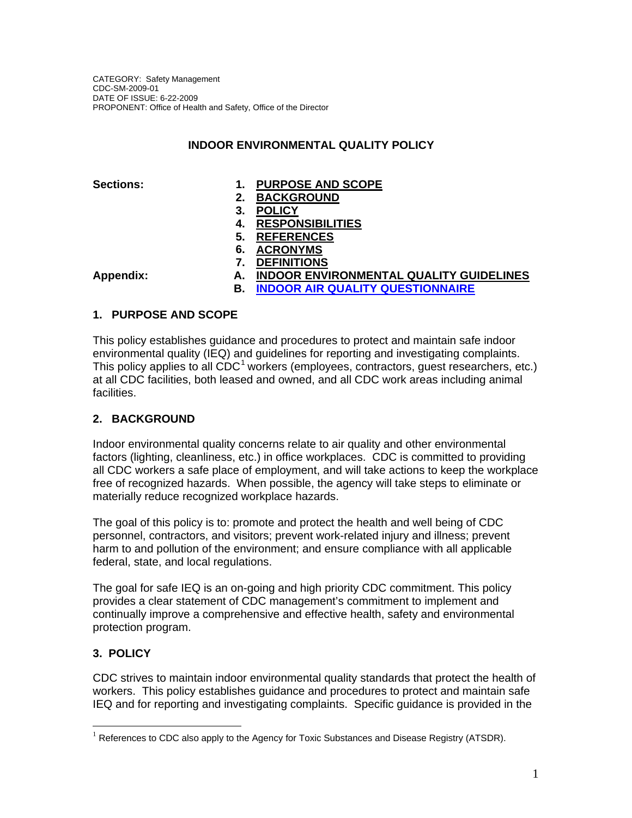# **INDOOR ENVIRONMENTAL QUALITY POLICY**

# **Sections: 1. PURPOSE AND SCOPE**

- **2. BACKGROUND**
- **3. POLICY**
- **4. RESPONSIBILITIES**
- **5. REFERENCES**
- **6. ACRONYMS**
- **7. DEFINITIONS**

- **Appendix: A. INDOOR ENVIRONMENTAL QUALITY GUIDELINES**
	- **B. [INDOOR AIR QUALITY QUESTIONNAIRE](http://intraspn.cdc.gov/maso/eforms/PDF/01414.pdf)**

# **1. PURPOSE AND SCOPE**

This policy establishes guidance and procedures to protect and maintain safe indoor environmental quality (IEQ) and guidelines for reporting and investigating complaints. This policy applies to all  $CDC<sup>1</sup>$  $CDC<sup>1</sup>$  $CDC<sup>1</sup>$  workers (employees, contractors, quest researchers, etc.) at all CDC facilities, both leased and owned, and all CDC work areas including animal facilities.

# **2. BACKGROUND**

Indoor environmental quality concerns relate to air quality and other environmental factors (lighting, cleanliness, etc.) in office workplaces. CDC is committed to providing all CDC workers a safe place of employment, and will take actions to keep the workplace free of recognized hazards. When possible, the agency will take steps to eliminate or materially reduce recognized workplace hazards.

The goal of this policy is to: promote and protect the health and well being of CDC personnel, contractors, and visitors; prevent work-related injury and illness; prevent harm to and pollution of the environment; and ensure compliance with all applicable federal, state, and local regulations.

The goal for safe IEQ is an on-going and high priority CDC commitment. This policy provides a clear statement of CDC management's commitment to implement and continually improve a comprehensive and effective health, safety and environmental protection program.

# **3. POLICY**

 $\overline{a}$ 

CDC strives to maintain indoor environmental quality standards that protect the health of workers. This policy establishes guidance and procedures to protect and maintain safe IEQ and for reporting and investigating complaints. Specific guidance is provided in the

<span id="page-1-0"></span> $1$  References to CDC also apply to the Agency for Toxic Substances and Disease Registry (ATSDR).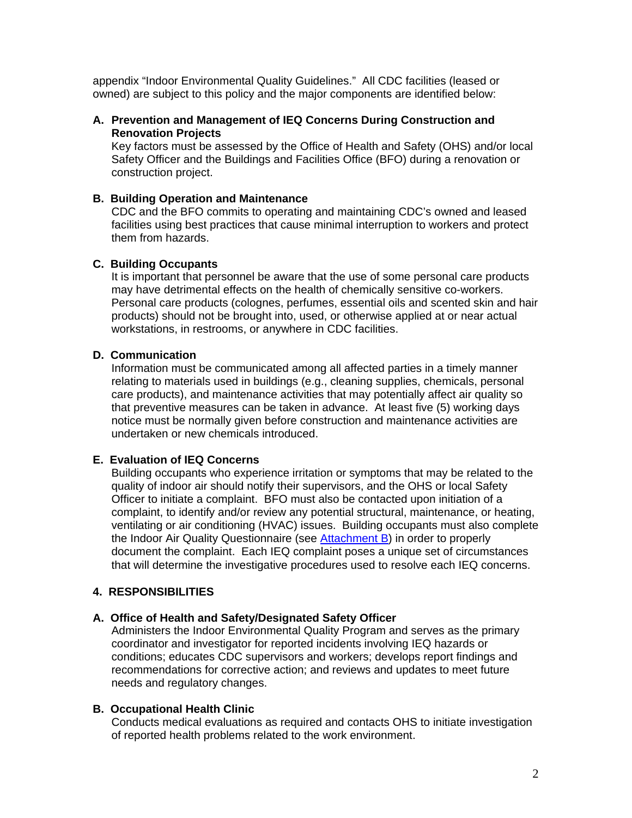appendix "Indoor Environmental Quality Guidelines." All CDC facilities (leased or owned) are subject to this policy and the major components are identified below:

## **A. Prevention and Management of IEQ Concerns During Construction and Renovation Projects**

Key factors must be assessed by the Office of Health and Safety (OHS) and/or local Safety Officer and the Buildings and Facilities Office (BFO) during a renovation or construction project.

## **B. Building Operation and Maintenance**

CDC and the BFO commits to operating and maintaining CDC's owned and leased facilities using best practices that cause minimal interruption to workers and protect them from hazards.

## **C. Building Occupants**

It is important that personnel be aware that the use of some personal care products may have detrimental effects on the health of chemically sensitive co-workers. Personal care products (colognes, perfumes, essential oils and scented skin and hair products) should not be brought into, used, or otherwise applied at or near actual workstations, in restrooms, or anywhere in CDC facilities.

## **D. Communication**

Information must be communicated among all affected parties in a timely manner relating to materials used in buildings (e.g., cleaning supplies, chemicals, personal care products), and maintenance activities that may potentially affect air quality so that preventive measures can be taken in advance. At least five (5) working days notice must be normally given before construction and maintenance activities are undertaken or new chemicals introduced.

## **E. Evaluation of IEQ Concerns**

Building occupants who experience irritation or symptoms that may be related to the quality of indoor air should notify their supervisors, and the OHS or local Safety Officer to initiate a complaint. BFO must also be contacted upon initiation of a complaint, to identify and/or review any potential structural, maintenance, or heating, ventilating or air conditioning (HVAC) issues. Building occupants must also complete the Indoor Air Quality Questionnaire (see [Attachment B](http://intraspn.cdc.gov/maso/eforms/PDF/01414.pdf)) in order to properly document the complaint. Each IEQ complaint poses a unique set of circumstances that will determine the investigative procedures used to resolve each IEQ concerns.

## **4. RESPONSIBILITIES**

#### **A. Office of Health and Safety/Designated Safety Officer**

Administers the Indoor Environmental Quality Program and serves as the primary coordinator and investigator for reported incidents involving IEQ hazards or conditions; educates CDC supervisors and workers; develops report findings and recommendations for corrective action; and reviews and updates to meet future needs and regulatory changes.

#### **B. Occupational Health Clinic**

Conducts medical evaluations as required and contacts OHS to initiate investigation of reported health problems related to the work environment.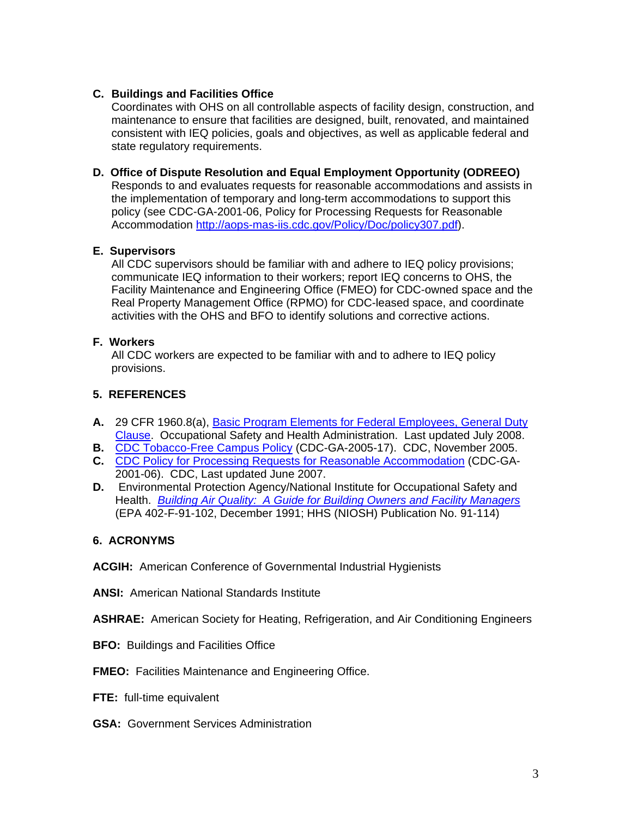# **C. Buildings and Facilities Office**

Coordinates with OHS on all controllable aspects of facility design, construction, and maintenance to ensure that facilities are designed, built, renovated, and maintained consistent with IEQ policies, goals and objectives, as well as applicable federal and state regulatory requirements.

**D. Office of Dispute Resolution and Equal Employment Opportunity (ODREEO)** 

Responds to and evaluates requests for reasonable accommodations and assists in the implementation of temporary and long-term accommodations to support this policy (see CDC-GA-2001-06, Policy for Processing Requests for Reasonable Accommodation [http://aops-mas-iis.cdc.gov/Policy/Doc/policy307.pdf\)](http://aops-mas-iis.cdc.gov/Policy/Doc/policy307.pdf).

# **E. Supervisors**

All CDC supervisors should be familiar with and adhere to IEQ policy provisions; communicate IEQ information to their workers; report IEQ concerns to OHS, the Facility Maintenance and Engineering Office (FMEO) for CDC-owned space and the Real Property Management Office (RPMO) for CDC-leased space, and coordinate activities with the OHS and BFO to identify solutions and corrective actions.

# **F. Workers**

All CDC workers are expected to be familiar with and to adhere to IEQ policy provisions.

# **5. REFERENCES**

- **A.** 29 CFR 1960.8(a), [Basic Program Elements for Federal Employees, General Duty](http://edocket.access.gpo.gov/cfr_2008/julqtr/29cfr1960.8.htm)  [Clause](http://edocket.access.gpo.gov/cfr_2008/julqtr/29cfr1960.8.htm). Occupational Safety and Health Administration. Last updated July 2008.
- **B.** [CDC Tobacco-Free Campus Policy](http://aops-mas-iis.cdc.gov/Policy/Doc/policy477.htm) (CDC-GA-2005-17). CDC, November 2005.
- **C.** [CDC Policy for Processing Requests for Reasonable Accommodation](http://aops-mas-iis.cdc.gov/Policy/Doc/policy307.pdf) (CDC-GA-2001-06). CDC, Last updated June 2007.
- **D.** Environmental Protection Agency/National Institute for Occupational Safety and Health. *[Building Air Quality: A Guide for Building Owners and Facility Managers](http://www.epa.gov/iaq/largebldgs/baqtoc.html)* (EPA 402-F-91-102, December 1991; HHS (NIOSH) Publication No. 91-114)

# **6. ACRONYMS**

**ACGIH:** American Conference of Governmental Industrial Hygienists

**ANSI:** American National Standards Institute

**ASHRAE:** American Society for Heating, Refrigeration, and Air Conditioning Engineers

- **BFO:** Buildings and Facilities Office
- **FMEO:** Facilities Maintenance and Engineering Office.
- **FTE:** full-time equivalent
- **GSA:** Government Services Administration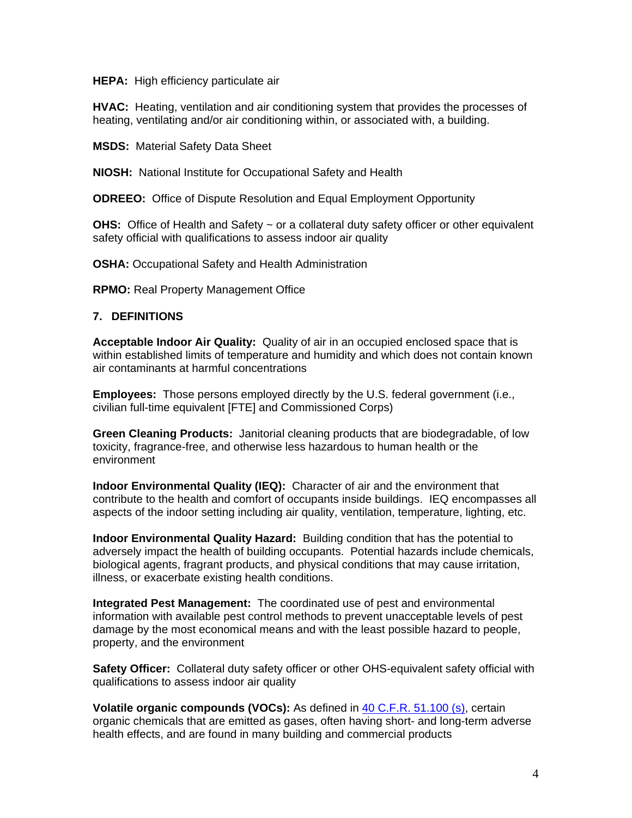**HEPA:** High efficiency particulate air

**HVAC:** Heating, ventilation and air conditioning system that provides the processes of heating, ventilating and/or air conditioning within, or associated with, a building.

**MSDS:** Material Safety Data Sheet

**NIOSH:** National Institute for Occupational Safety and Health

**ODREEO:** Office of Dispute Resolution and Equal Employment Opportunity

**OHS:** Office of Health and Safety ~ or a collateral duty safety officer or other equivalent safety official with qualifications to assess indoor air quality

**OSHA:** Occupational Safety and Health Administration

**RPMO:** Real Property Management Office

## **7. DEFINITIONS**

**Acceptable Indoor Air Quality:** Quality of air in an occupied enclosed space that is within established limits of temperature and humidity and which does not contain known air contaminants at harmful concentrations

**Employees:** Those persons employed directly by the U.S. federal government (i.e., civilian full-time equivalent [FTE] and Commissioned Corps)

**Green Cleaning Products:** Janitorial cleaning products that are biodegradable, of low toxicity, fragrance-free, and otherwise less hazardous to human health or the environment

**Indoor Environmental Quality (IEQ):** Character of air and the environment that contribute to the health and comfort of occupants inside buildings. IEQ encompasses all aspects of the indoor setting including air quality, ventilation, temperature, lighting, etc.

**Indoor Environmental Quality Hazard:** Building condition that has the potential to adversely impact the health of building occupants. Potential hazards include chemicals, biological agents, fragrant products, and physical conditions that may cause irritation, illness, or exacerbate existing health conditions.

**Integrated Pest Management:** The coordinated use of pest and environmental information with available pest control methods to prevent unacceptable levels of pest damage by the most economical means and with the least possible hazard to people, property, and the environment

**Safety Officer:** Collateral duty safety officer or other OHS-equivalent safety official with qualifications to assess indoor air quality

**Volatile organic compounds (VOCs):** As defined in [40 C.F.R. 51.100 \(s\),](http://edocket.access.gpo.gov/cfr_2008/julqtr/40cfr51.100.htm) certain organic chemicals that are emitted as gases, often having short- and long-term adverse health effects, and are found in many building and commercial products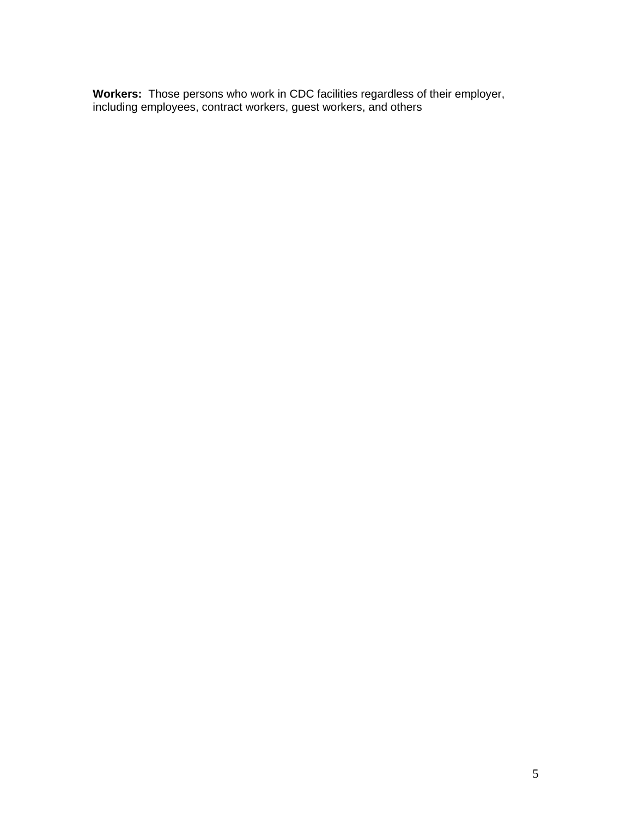**Workers:** Those persons who work in CDC facilities regardless of their employer, including employees, contract workers, guest workers, and others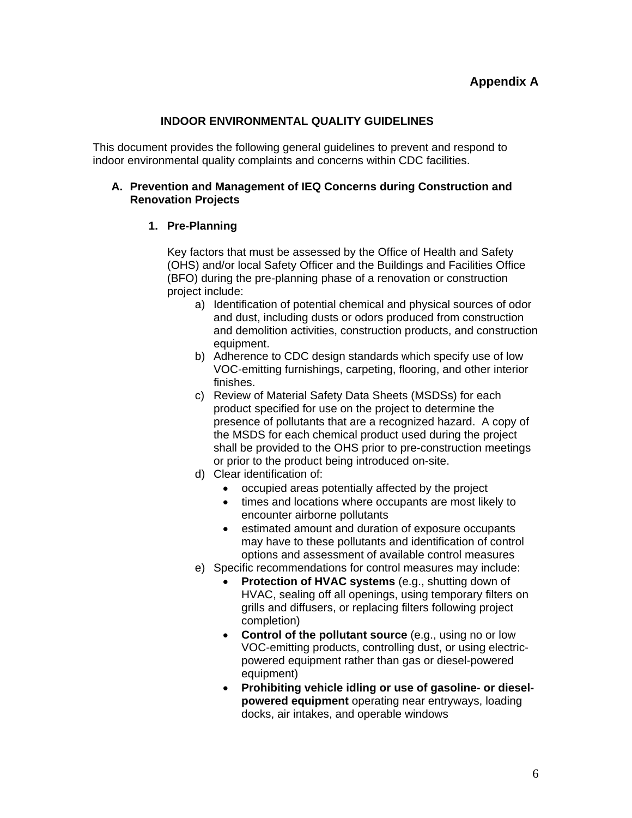# **INDOOR ENVIRONMENTAL QUALITY GUIDELINES**

This document provides the following general guidelines to prevent and respond to indoor environmental quality complaints and concerns within CDC facilities.

## **A. Prevention and Management of IEQ Concerns during Construction and Renovation Projects**

# **1. Pre-Planning**

Key factors that must be assessed by the Office of Health and Safety (OHS) and/or local Safety Officer and the Buildings and Facilities Office (BFO) during the pre-planning phase of a renovation or construction project include:

- a) Identification of potential chemical and physical sources of odor and dust, including dusts or odors produced from construction and demolition activities, construction products, and construction equipment.
- b) Adherence to CDC design standards which specify use of low VOC-emitting furnishings, carpeting, flooring, and other interior finishes.
- c) Review of Material Safety Data Sheets (MSDSs) for each product specified for use on the project to determine the presence of pollutants that are a recognized hazard. A copy of the MSDS for each chemical product used during the project shall be provided to the OHS prior to pre-construction meetings or prior to the product being introduced on-site.
- d) Clear identification of:
	- occupied areas potentially affected by the project
	- times and locations where occupants are most likely to encounter airborne pollutants
	- estimated amount and duration of exposure occupants may have to these pollutants and identification of control options and assessment of available control measures
- e) Specific recommendations for control measures may include:
	- **Protection of HVAC systems** (e.g., shutting down of HVAC, sealing off all openings, using temporary filters on grills and diffusers, or replacing filters following project completion)
	- **Control of the pollutant source** (e.g., using no or low VOC-emitting products, controlling dust, or using electricpowered equipment rather than gas or diesel-powered equipment)
	- **Prohibiting vehicle idling or use of gasoline- or dieselpowered equipment** operating near entryways, loading docks, air intakes, and operable windows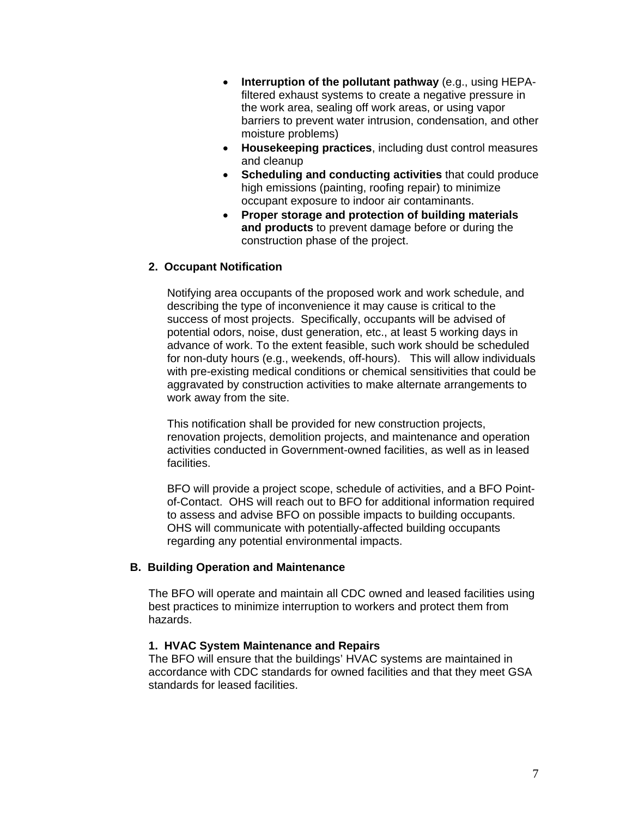- **Interruption of the pollutant pathway** (e.g., using HEPAfiltered exhaust systems to create a negative pressure in the work area, sealing off work areas, or using vapor barriers to prevent water intrusion, condensation, and other moisture problems)
- **Housekeeping practices**, including dust control measures and cleanup
- **Scheduling and conducting activities** that could produce high emissions (painting, roofing repair) to minimize occupant exposure to indoor air contaminants.
- **Proper storage and protection of building materials and products** to prevent damage before or during the construction phase of the project.

## **2. Occupant Notification**

Notifying area occupants of the proposed work and work schedule, and describing the type of inconvenience it may cause is critical to the success of most projects. Specifically, occupants will be advised of potential odors, noise, dust generation, etc., at least 5 working days in advance of work. To the extent feasible, such work should be scheduled for non-duty hours (e.g., weekends, off-hours). This will allow individuals with pre-existing medical conditions or chemical sensitivities that could be aggravated by construction activities to make alternate arrangements to work away from the site.

This notification shall be provided for new construction projects, renovation projects, demolition projects, and maintenance and operation activities conducted in Government-owned facilities, as well as in leased facilities.

BFO will provide a project scope, schedule of activities, and a BFO Pointof-Contact. OHS will reach out to BFO for additional information required to assess and advise BFO on possible impacts to building occupants. OHS will communicate with potentially-affected building occupants regarding any potential environmental impacts.

#### **B. Building Operation and Maintenance**

The BFO will operate and maintain all CDC owned and leased facilities using best practices to minimize interruption to workers and protect them from hazards.

#### **1. HVAC System Maintenance and Repairs**

The BFO will ensure that the buildings' HVAC systems are maintained in accordance with CDC standards for owned facilities and that they meet GSA standards for leased facilities.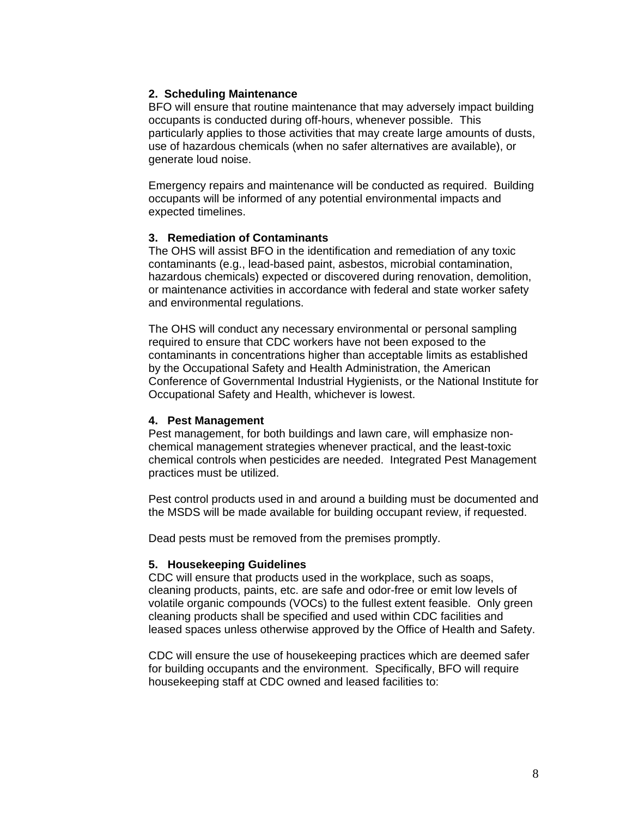## **2. Scheduling Maintenance**

BFO will ensure that routine maintenance that may adversely impact building occupants is conducted during off-hours, whenever possible. This particularly applies to those activities that may create large amounts of dusts, use of hazardous chemicals (when no safer alternatives are available), or generate loud noise.

Emergency repairs and maintenance will be conducted as required. Building occupants will be informed of any potential environmental impacts and expected timelines.

## **3. Remediation of Contaminants**

The OHS will assist BFO in the identification and remediation of any toxic contaminants (e.g., lead-based paint, asbestos, microbial contamination, hazardous chemicals) expected or discovered during renovation, demolition, or maintenance activities in accordance with federal and state worker safety and environmental regulations.

The OHS will conduct any necessary environmental or personal sampling required to ensure that CDC workers have not been exposed to the contaminants in concentrations higher than acceptable limits as established by the Occupational Safety and Health Administration, the American Conference of Governmental Industrial Hygienists, or the National Institute for Occupational Safety and Health, whichever is lowest.

#### **4. Pest Management**

Pest management, for both buildings and lawn care, will emphasize nonchemical management strategies whenever practical, and the least-toxic chemical controls when pesticides are needed. Integrated Pest Management practices must be utilized.

Pest control products used in and around a building must be documented and the MSDS will be made available for building occupant review, if requested.

Dead pests must be removed from the premises promptly.

#### **5. Housekeeping Guidelines**

CDC will ensure that products used in the workplace, such as soaps, cleaning products, paints, etc. are safe and odor-free or emit low levels of volatile organic compounds (VOCs) to the fullest extent feasible. Only green cleaning products shall be specified and used within CDC facilities and leased spaces unless otherwise approved by the Office of Health and Safety.

CDC will ensure the use of housekeeping practices which are deemed safer for building occupants and the environment. Specifically, BFO will require housekeeping staff at CDC owned and leased facilities to: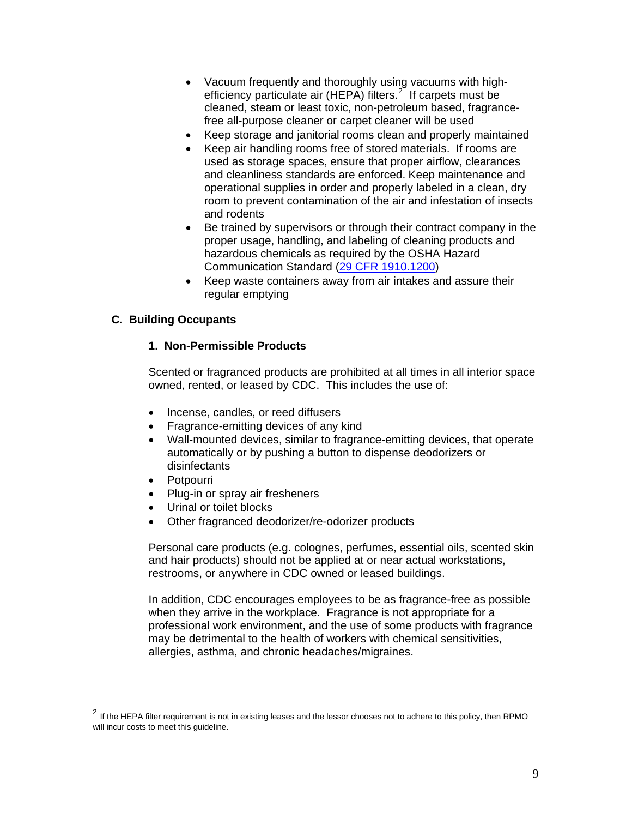- Vacuum frequently and thoroughly using vacuums with highefficiency particulate air (HEPA) filters. $2^{2}$  $2^{2}$  If carpets must be cleaned, steam or least toxic, non-petroleum based, fragrancefree all-purpose cleaner or carpet cleaner will be used
- Keep storage and janitorial rooms clean and properly maintained
- Keep air handling rooms free of stored materials. If rooms are used as storage spaces, ensure that proper airflow, clearances and cleanliness standards are enforced. Keep maintenance and operational supplies in order and properly labeled in a clean, dry room to prevent contamination of the air and infestation of insects and rodents
- Be trained by supervisors or through their contract company in the proper usage, handling, and labeling of cleaning products and hazardous chemicals as required by the OSHA Hazard Communication Standard ([29 CFR 1910.1200\)](http://edocket.access.gpo.gov/cfr_2007/julqtr/29cfr1910.1200.htm)
- Keep waste containers away from air intakes and assure their regular emptying

## **C. Building Occupants**

#### **1. Non-Permissible Products**

Scented or fragranced products are prohibited at all times in all interior space owned, rented, or leased by CDC. This includes the use of:

- Incense, candles, or reed diffusers
- Fragrance-emitting devices of any kind
- Wall-mounted devices, similar to fragrance-emitting devices, that operate automatically or by pushing a button to dispense deodorizers or disinfectants
- Potpourri

 $\overline{a}$ 

- Plug-in or spray air fresheners
- Urinal or toilet blocks
- Other fragranced deodorizer/re-odorizer products

Personal care products (e.g. colognes, perfumes, essential oils, scented skin and hair products) should not be applied at or near actual workstations, restrooms, or anywhere in CDC owned or leased buildings.

In addition, CDC encourages employees to be as fragrance-free as possible when they arrive in the workplace. Fragrance is not appropriate for a professional work environment, and the use of some products with fragrance may be detrimental to the health of workers with chemical sensitivities, allergies, asthma, and chronic headaches/migraines.

<span id="page-9-0"></span> $^2$  If the HEPA filter requirement is not in existing leases and the lessor chooses not to adhere to this policy, then RPMO will incur costs to meet this guideline.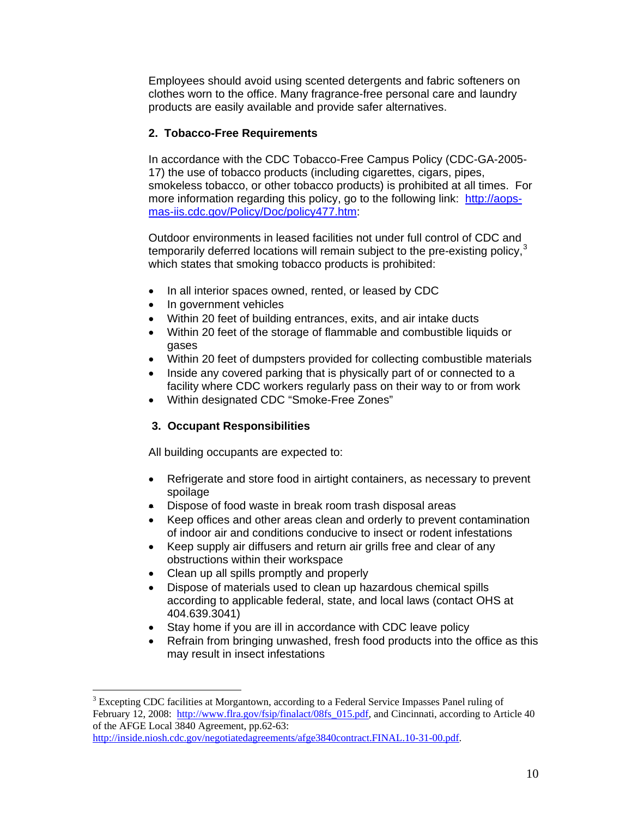Employees should avoid using scented detergents and fabric softeners on clothes worn to the office. Many fragrance-free personal care and laundry products are easily available and provide safer alternatives.

# **2. Tobacco-Free Requirements**

In accordance with the CDC Tobacco-Free Campus Policy (CDC-GA-2005- 17) the use of tobacco products (including cigarettes, cigars, pipes, smokeless tobacco, or other tobacco products) is prohibited at all times. For more information regarding this policy, go to the following link: [http://aops](http://aops-mas-iis.cdc.gov/Policy/Doc/policy477.htm)[mas-iis.cdc.gov/Policy/Doc/policy477.htm:](http://aops-mas-iis.cdc.gov/Policy/Doc/policy477.htm)

Outdoor environments in leased facilities not under full control of CDC and temporarily deferred locations will remain subject to the pre-existing policy, $3$ which states that smoking tobacco products is prohibited:

- In all interior spaces owned, rented, or leased by CDC
- In government vehicles
- Within 20 feet of building entrances, exits, and air intake ducts
- Within 20 feet of the storage of flammable and combustible liquids or gases
- Within 20 feet of dumpsters provided for collecting combustible materials
- Inside any covered parking that is physically part of or connected to a facility where CDC workers regularly pass on their way to or from work
- Within designated CDC "Smoke-Free Zones"

# **3. Occupant Responsibilities**

All building occupants are expected to:

- Refrigerate and store food in airtight containers, as necessary to prevent spoilage
- Dispose of food waste in break room trash disposal areas
- Keep offices and other areas clean and orderly to prevent contamination of indoor air and conditions conducive to insect or rodent infestations
- Keep supply air diffusers and return air grills free and clear of any obstructions within their workspace
- Clean up all spills promptly and properly

 $\overline{a}$ 

- Dispose of materials used to clean up hazardous chemical spills according to applicable federal, state, and local laws (contact OHS at 404.639.3041)
- Stay home if you are ill in accordance with CDC leave policy
- Refrain from bringing unwashed, fresh food products into the office as this may result in insect infestations

<span id="page-10-0"></span> $3$  Excepting CDC facilities at Morgantown, according to a Federal Service Impasses Panel ruling of February 12, 2008: http://www.flra.gov/fsip/finalact/08fs 015.pdf, and Cincinnati, according to Article 40 of the AFGE Local 3840 Agreement, pp.62-63:

[http://inside.niosh.cdc.gov/negotiatedagreements/afge3840contract.FINAL.10-31-00.pdf.](http://inside.niosh.cdc.gov/negotiatedagreements/afge3840contract.FINAL.10-31-00.pdf)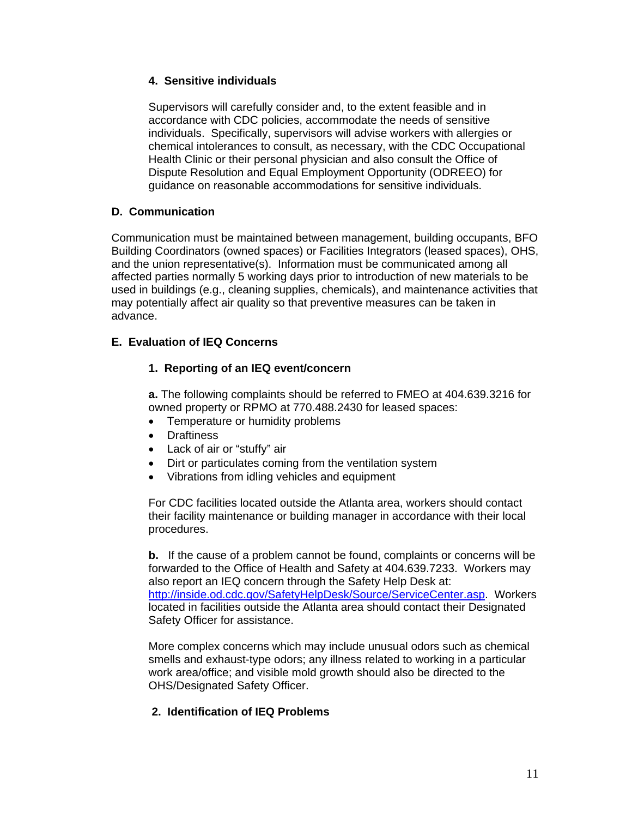## **4. Sensitive individuals**

Supervisors will carefully consider and, to the extent feasible and in accordance with CDC policies, accommodate the needs of sensitive individuals. Specifically, supervisors will advise workers with allergies or chemical intolerances to consult, as necessary, with the CDC Occupational Health Clinic or their personal physician and also consult the Office of Dispute Resolution and Equal Employment Opportunity (ODREEO) for guidance on reasonable accommodations for sensitive individuals.

# **D. Communication**

Communication must be maintained between management, building occupants, BFO Building Coordinators (owned spaces) or Facilities Integrators (leased spaces), OHS, and the union representative(s). Information must be communicated among all affected parties normally 5 working days prior to introduction of new materials to be used in buildings (e.g., cleaning supplies, chemicals), and maintenance activities that may potentially affect air quality so that preventive measures can be taken in advance.

# **E. Evaluation of IEQ Concerns**

# **1. Reporting of an IEQ event/concern**

**a.** The following complaints should be referred to FMEO at 404.639.3216 for owned property or RPMO at 770.488.2430 for leased spaces:

- Temperature or humidity problems
- Draftiness
- Lack of air or "stuffy" air
- Dirt or particulates coming from the ventilation system
- Vibrations from idling vehicles and equipment

For CDC facilities located outside the Atlanta area, workers should contact their facility maintenance or building manager in accordance with their local procedures.

**b.** If the cause of a problem cannot be found, complaints or concerns will be forwarded to the Office of Health and Safety at 404.639.7233. Workers may also report an IEQ concern through the Safety Help Desk at: [http://inside.od.cdc.gov/SafetyHelpDesk/Source/ServiceCenter.asp.](http://inside.od.cdc.gov/SafetyHelpDesk/Source/ServiceCenter.asp) Workers located in facilities outside the Atlanta area should contact their Designated Safety Officer for assistance.

More complex concerns which may include unusual odors such as chemical smells and exhaust-type odors; any illness related to working in a particular work area/office; and visible mold growth should also be directed to the OHS/Designated Safety Officer.

# **2. Identification of IEQ Problems**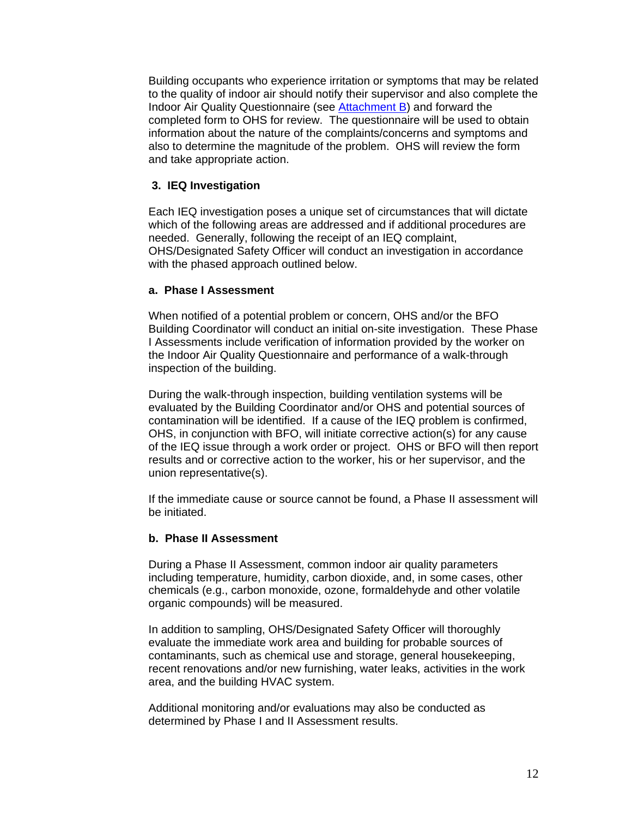Building occupants who experience irritation or symptoms that may be related to the quality of indoor air should notify their supervisor and also complete the Indoor Air Quality Questionnaire (see **[Attachment B](http://intraspn.cdc.gov/maso/eforms/PDF/01414.pdf)**) and forward the completed form to OHS for review. The questionnaire will be used to obtain information about the nature of the complaints/concerns and symptoms and also to determine the magnitude of the problem. OHS will review the form and take appropriate action.

## **3. IEQ Investigation**

Each IEQ investigation poses a unique set of circumstances that will dictate which of the following areas are addressed and if additional procedures are needed. Generally, following the receipt of an IEQ complaint, OHS/Designated Safety Officer will conduct an investigation in accordance with the phased approach outlined below.

## **a. Phase I Assessment**

When notified of a potential problem or concern, OHS and/or the BFO Building Coordinator will conduct an initial on-site investigation. These Phase I Assessments include verification of information provided by the worker on the Indoor Air Quality Questionnaire and performance of a walk-through inspection of the building.

During the walk-through inspection, building ventilation systems will be evaluated by the Building Coordinator and/or OHS and potential sources of contamination will be identified. If a cause of the IEQ problem is confirmed, OHS, in conjunction with BFO, will initiate corrective action(s) for any cause of the IEQ issue through a work order or project. OHS or BFO will then report results and or corrective action to the worker, his or her supervisor, and the union representative(s).

If the immediate cause or source cannot be found, a Phase II assessment will be initiated.

#### **b. Phase II Assessment**

During a Phase II Assessment, common indoor air quality parameters including temperature, humidity, carbon dioxide, and, in some cases, other chemicals (e.g., carbon monoxide, ozone, formaldehyde and other volatile organic compounds) will be measured.

In addition to sampling, OHS/Designated Safety Officer will thoroughly evaluate the immediate work area and building for probable sources of contaminants, such as chemical use and storage, general housekeeping, recent renovations and/or new furnishing, water leaks, activities in the work area, and the building HVAC system.

Additional monitoring and/or evaluations may also be conducted as determined by Phase I and II Assessment results.